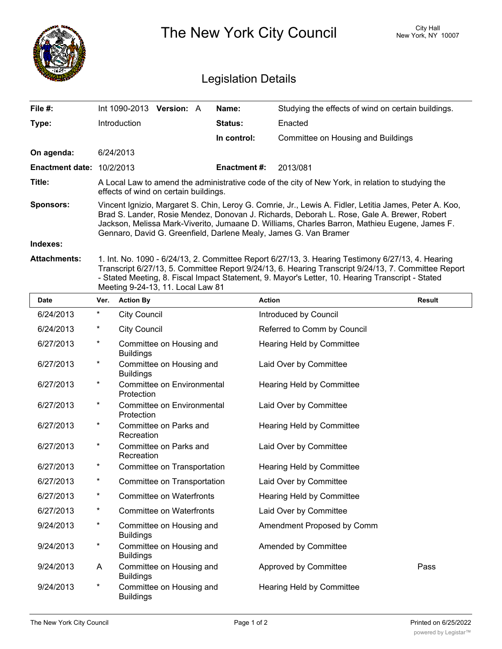|                                  | The New York City Council                                                                                                                                                                                                                                                                                                                                                 |                   |  |                     |                                                    | City Hall<br>New York, NY 10007 |  |  |
|----------------------------------|---------------------------------------------------------------------------------------------------------------------------------------------------------------------------------------------------------------------------------------------------------------------------------------------------------------------------------------------------------------------------|-------------------|--|---------------------|----------------------------------------------------|---------------------------------|--|--|
| <b>Legislation Details</b>       |                                                                                                                                                                                                                                                                                                                                                                           |                   |  |                     |                                                    |                                 |  |  |
| File #:                          | Int 1090-2013                                                                                                                                                                                                                                                                                                                                                             | <b>Version: A</b> |  | Name:               | Studying the effects of wind on certain buildings. |                                 |  |  |
| Type:                            | Introduction                                                                                                                                                                                                                                                                                                                                                              |                   |  | Status:             | Enacted                                            |                                 |  |  |
|                                  |                                                                                                                                                                                                                                                                                                                                                                           |                   |  | In control:         | Committee on Housing and Buildings                 |                                 |  |  |
| On agenda:                       | 6/24/2013                                                                                                                                                                                                                                                                                                                                                                 |                   |  |                     |                                                    |                                 |  |  |
| <b>Enactment date: 10/2/2013</b> |                                                                                                                                                                                                                                                                                                                                                                           |                   |  | <b>Enactment #:</b> | 2013/081                                           |                                 |  |  |
| Title:                           | A Local Law to amend the administrative code of the city of New York, in relation to studying the<br>effects of wind on certain buildings.                                                                                                                                                                                                                                |                   |  |                     |                                                    |                                 |  |  |
| <b>Sponsors:</b>                 | Vincent Ignizio, Margaret S. Chin, Leroy G. Comrie, Jr., Lewis A. Fidler, Letitia James, Peter A. Koo,<br>Brad S. Lander, Rosie Mendez, Donovan J. Richards, Deborah L. Rose, Gale A. Brewer, Robert<br>Jackson, Melissa Mark-Viverito, Jumaane D. Williams, Charles Barron, Mathieu Eugene, James F.<br>Gennaro, David G. Greenfield, Darlene Mealy, James G. Van Bramer |                   |  |                     |                                                    |                                 |  |  |
| Indexes:                         |                                                                                                                                                                                                                                                                                                                                                                           |                   |  |                     |                                                    |                                 |  |  |
| <b>Attachments:</b>              | 1. Int. No. 1090 - 6/24/13, 2. Committee Report 6/27/13, 3. Hearing Testimony 6/27/13, 4. Hearing<br>Transcript 6/27/13, 5. Committee Report 9/24/13, 6. Hearing Transcript 9/24/13, 7. Committee Report                                                                                                                                                                  |                   |  |                     |                                                    |                                 |  |  |

- Stated Meeting, 8. Fiscal Impact Statement, 9. Mayor's Letter, 10. Hearing Transcript - Stated

|             |         | Meeting 9-24-13, 11. Local Law 81               |                             |        |
|-------------|---------|-------------------------------------------------|-----------------------------|--------|
| <b>Date</b> | Ver.    | <b>Action By</b>                                | <b>Action</b>               | Result |
| 6/24/2013   | $\star$ | <b>City Council</b>                             | Introduced by Council       |        |
| 6/24/2013   | $\ast$  | <b>City Council</b>                             | Referred to Comm by Council |        |
| 6/27/2013   | $\star$ | Committee on Housing and<br><b>Buildings</b>    | Hearing Held by Committee   |        |
| 6/27/2013   | $^\ast$ | Committee on Housing and<br><b>Buildings</b>    | Laid Over by Committee      |        |
| 6/27/2013   | $\star$ | <b>Committee on Environmental</b><br>Protection | Hearing Held by Committee   |        |
| 6/27/2013   | $^\ast$ | Committee on Environmental<br>Protection        | Laid Over by Committee      |        |
| 6/27/2013   | $\star$ | Committee on Parks and<br>Recreation            | Hearing Held by Committee   |        |
| 6/27/2013   | $\star$ | Committee on Parks and<br>Recreation            | Laid Over by Committee      |        |
| 6/27/2013   | $^\ast$ | Committee on Transportation                     | Hearing Held by Committee   |        |
| 6/27/2013   | $^\ast$ | Committee on Transportation                     | Laid Over by Committee      |        |
| 6/27/2013   | $^\ast$ | <b>Committee on Waterfronts</b>                 | Hearing Held by Committee   |        |
| 6/27/2013   | $\star$ | <b>Committee on Waterfronts</b>                 | Laid Over by Committee      |        |
| 9/24/2013   | $\star$ | Committee on Housing and<br><b>Buildings</b>    | Amendment Proposed by Comm  |        |
| 9/24/2013   | $\star$ | Committee on Housing and<br><b>Buildings</b>    | Amended by Committee        |        |
| 9/24/2013   | A       | Committee on Housing and<br><b>Buildings</b>    | Approved by Committee       | Pass   |
| 9/24/2013   | $\star$ | Committee on Housing and<br><b>Buildings</b>    | Hearing Held by Committee   |        |